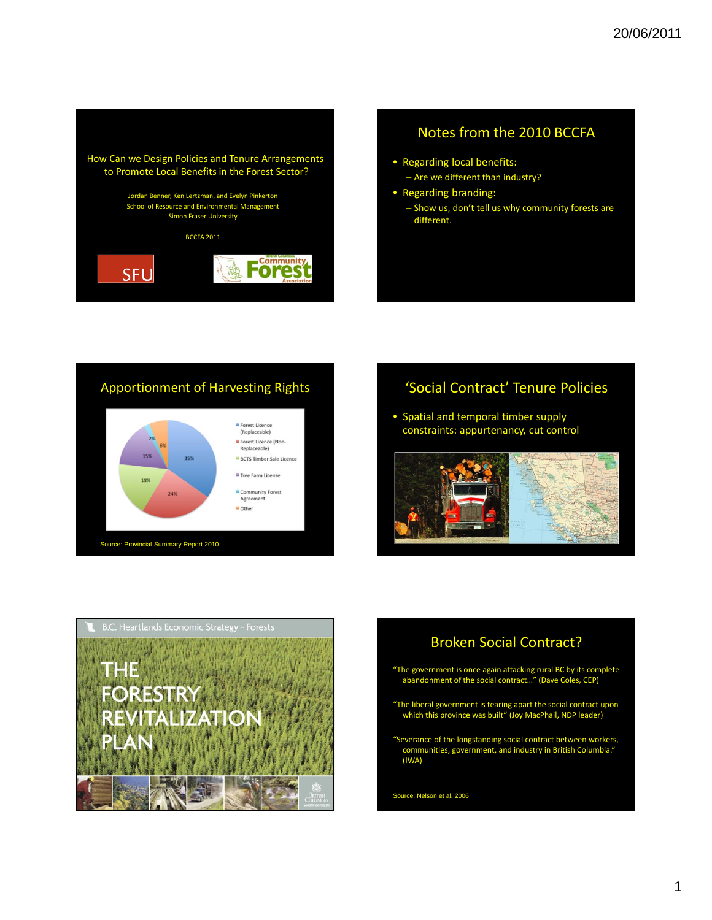

#### Notes from the 2010 BCCFA

- Regarding local benefits: – Are we different than industry?
- Regarding branding:
	- Show us, don't tell us why community forests are different.

#### Apportionment of Harvesting Rights



#### 'Social Contract' Tenure Policies

• Spatial and temporal timber supply constraints: appurtenancy, cut control





#### Broken Social Contract?

- "The government is once again attacking rural BC by its complete abandonment of the social contract…" (Dave Coles, CEP)
- "The liberal government is tearing apart the social contract upon which this province was built" (Joy MacPhail, NDP leader)
- "Severance of the longstanding social contract between workers, communities, government, and industry in British Columbia." (IWA)

Source: Nelson et al. 2006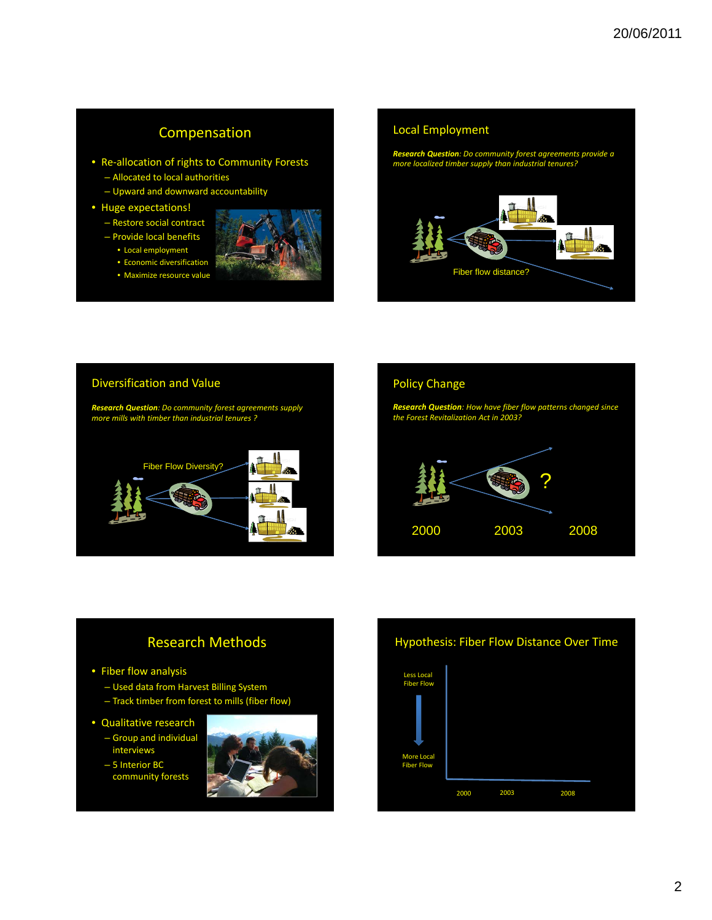#### Compensation

- Re-allocation of rights to Community Forests
	- Allocated to local authorities
	- Upward and downward accountability
- Huge expectations!
	- Restore social contract
	- Provide local benefits
		- Local employment • Economic diversification
		- Maximize resource value





#### Diversification and Value

*Research Question: Do community forest agreements supply more mills with timber than industrial tenures ?*



# Policy Change

*Research Question: How have fiber flow patterns changed since the Forest Revitalization Act in 2003?*



#### Research Methods

- Fiber flow analysis
	- Used data from Harvest Billing System
	- Track timber from forest to mills (fiber flow)
- Qualitative research
	- Group and individual interviews
	- 5 Interior BC community forests



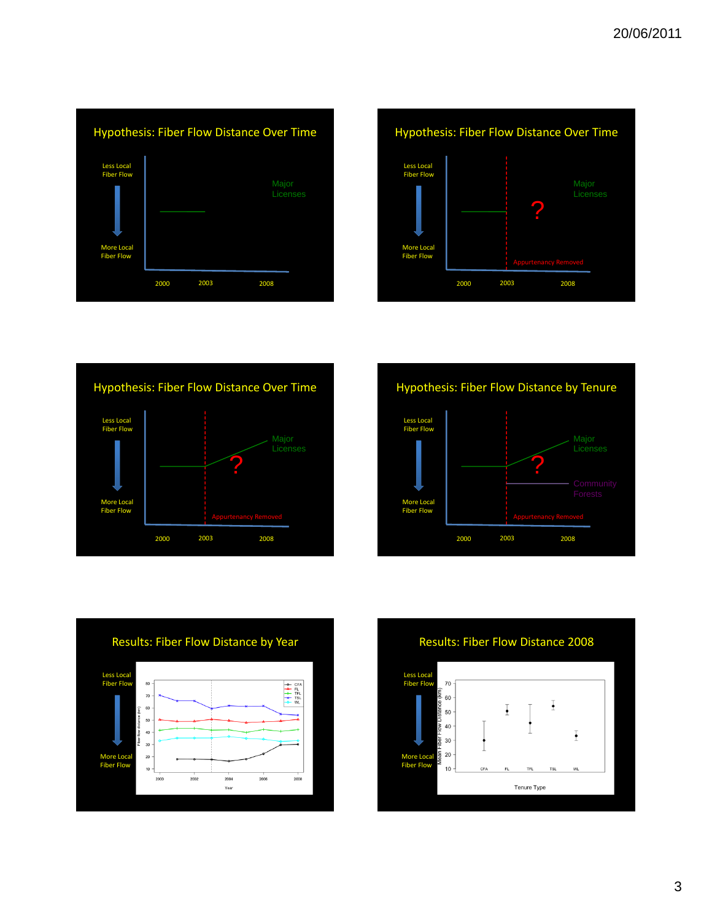







![](_page_2_Figure_5.jpeg)

![](_page_2_Figure_6.jpeg)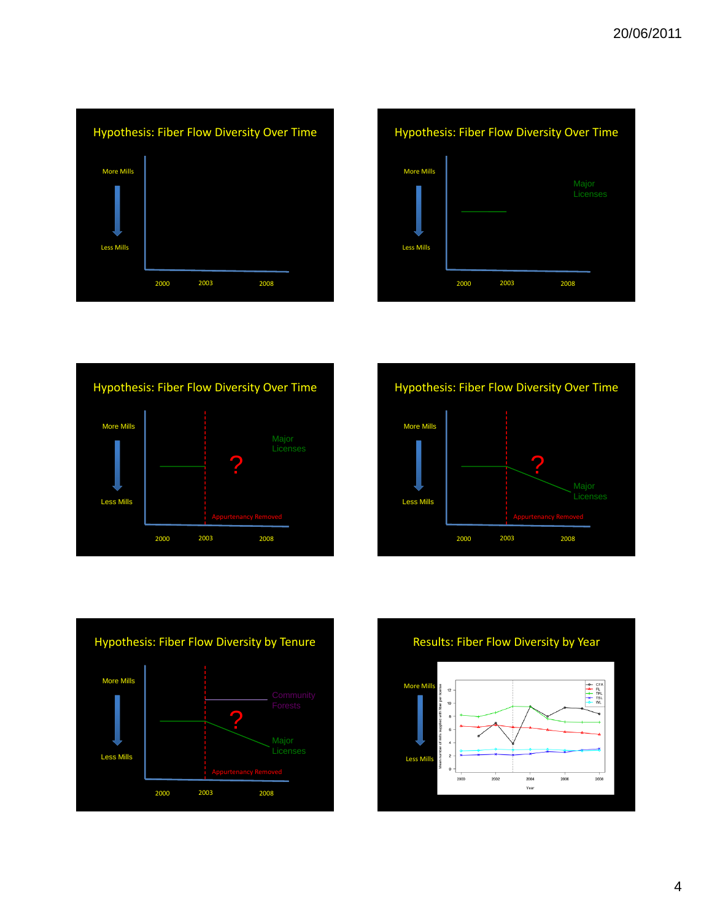![](_page_3_Figure_1.jpeg)

![](_page_3_Figure_2.jpeg)

![](_page_3_Figure_3.jpeg)

![](_page_3_Figure_4.jpeg)

![](_page_3_Figure_5.jpeg)

![](_page_3_Figure_6.jpeg)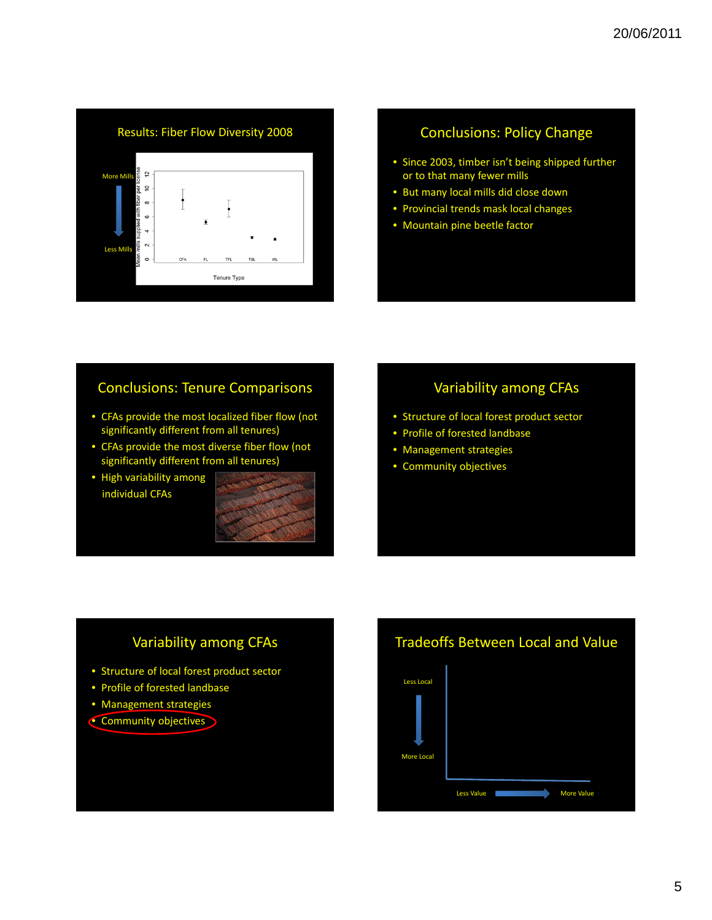![](_page_4_Figure_1.jpeg)

#### Conclusions: Policy Change

- Since 2003, timber isn't being shipped further or to that many fewer mills
- But many local mills did close down
- Provincial trends mask local changes
- Mountain pine beetle factor

#### Conclusions: Tenure Comparisons

- CFAs provide the most localized fiber flow (not significantly different from all tenures)
- CFAs provide the most diverse fiber flow (not significantly different from all tenures)
- High variability among individual CFAs

![](_page_4_Figure_11.jpeg)

#### Variability among CFAs

- Structure of local forest product sector
- Profile of forested landbase
- Management strategies
- Community objectives

#### Variability among CFAs

- Structure of local forest product sector
- Profile of forested landbase
- Management strategies
- Community objectives

## Tradeoffs Between Local and Value

![](_page_4_Figure_23.jpeg)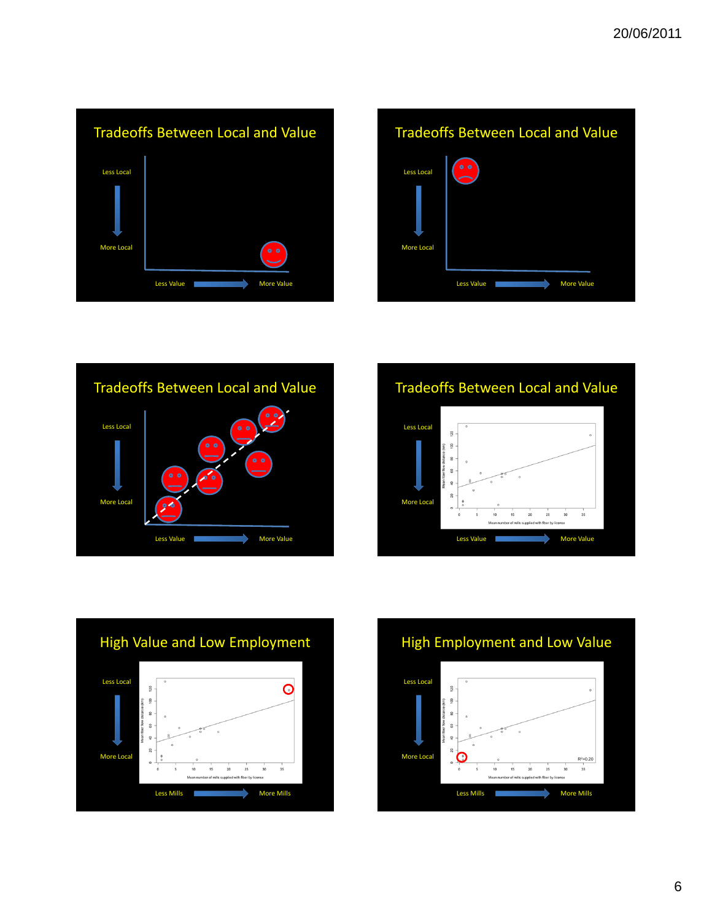![](_page_5_Figure_1.jpeg)

![](_page_5_Figure_2.jpeg)

![](_page_5_Figure_3.jpeg)

![](_page_5_Figure_4.jpeg)

![](_page_5_Figure_5.jpeg)

![](_page_5_Figure_6.jpeg)

![](_page_5_Figure_7.jpeg)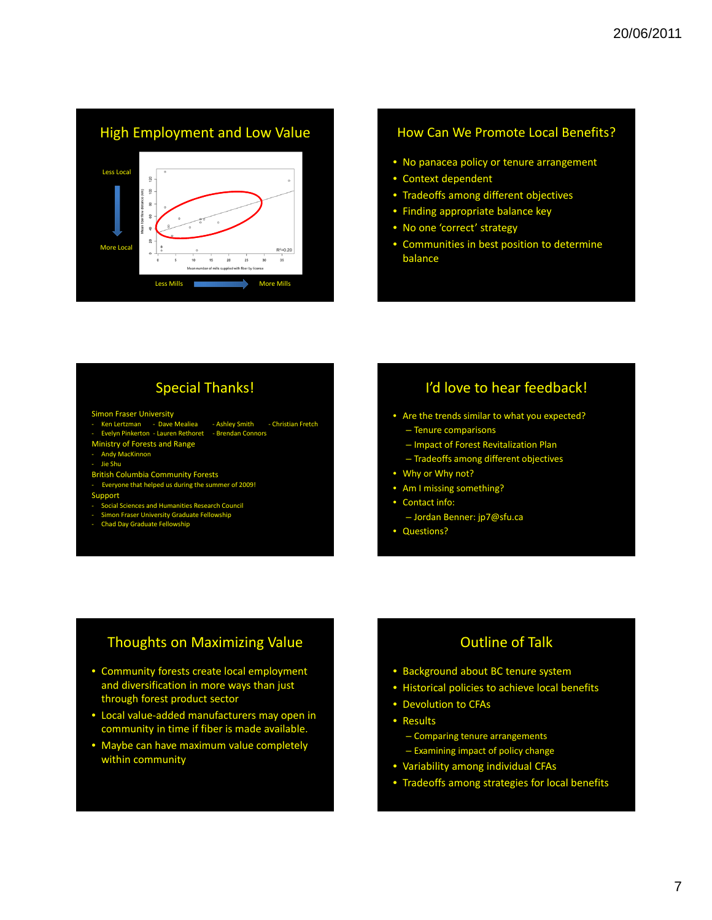![](_page_6_Figure_1.jpeg)

#### How Can We Promote Local Benefits?

- No panacea policy or tenure arrangement
- Context dependent
- Tradeoffs among different objectives
- Finding appropriate balance key
- No one 'correct' strategy
- Communities in best position to determine balance

### Special Thanks!

#### Simon Fraser University

- ‐ Ken Lertzman ‐ Dave Mealiea ‐ Ashley Smith ‐ Christian Fretch
- ‐ Evelyn Pinkerton ‐ Lauren Rethoret ‐ Brendan Connors
- Ministry of Forests and Range dy MacKinnon
- ‐ Jie Shu
- British Columbia Community Forests
- ‐ Everyone that helped us during the summer of 2009!
- Support
- ‐ Social Sciences and Humanities Research Council
- ‐ Simon Fraser University Graduate Fellowship
- ‐ Chad Day Graduate Fellowship
- I'd love to hear feedback!
- Are the trends similar to what you expected?
	- Tenure comparisons
	- Impact of Forest Revitalization Plan
	- Tradeoffs among different objectives
- Why or Why not?
- Am I missing something?
- Contact info:
	- Jordan Benner: jp7@sfu.ca
- Questions?

#### Thoughts on Maximizing Value

- Community forests create local employment and diversification in more ways than just through forest product sector
- Local value‐added manufacturers may open in community in time if fiber is made available.
- Maybe can have maximum value completely within community

#### Outline of Talk

- Background about BC tenure system
- Historical policies to achieve local benefits
- Devolution to CFAs
- Results
	- Comparing tenure arrangements
	- Examining impact of policy change
- Variability among individual CFAs
- Tradeoffs among strategies for local benefits